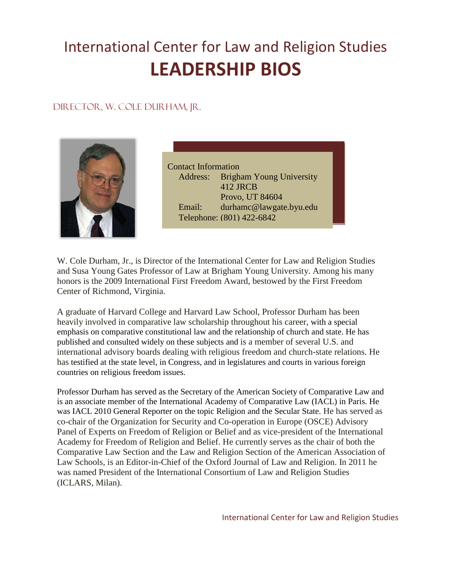# International Center for Law and Religion Studies **LEADERSHIP BIOS**

## Director, W. Cole Durham, Jr.



Contact Information Address: Brigham Young University 412 JRCB Provo, UT 84604 Email: durhamc@lawgate.byu.edu Telephone: (801) 422-6842

W. Cole Durham, Jr., is Director of the International Center for Law and Religion Studies and Susa Young Gates Professor of Law at Brigham Young University. Among his many honors is the 2009 International First Freedom Award, bestowed by the First Freedom Center of Richmond, Virginia.

A graduate of Harvard College and Harvard Law School, Professor Durham has been heavily involved in comparative law scholarship throughout his career, with a special emphasis on comparative constitutional law and the relationship of church and state. He has published and consulted widely on these subjects and is a member of several U.S. and international advisory boards dealing with religious freedom and church-state relations. He has testified at the state level, in Congress, and in legislatures and courts in various foreign countries on religious freedom issues.

Professor Durham has served as the Secretary of the American Society of Comparative Law and is an associate member of the International Academy of Comparative Law (IACL) in Paris. He was IACL 2010 General Reporter on the topic Religion and the Secular State. He has served as co-chair of the Organization for Security and Co-operation in Europe (OSCE) Advisory Panel of Experts on Freedom of Religion or Belief and as vice-president of the International Academy for Freedom of Religion and Belief. He currently serves as the chair of both the Comparative Law Section and the Law and Religion Section of the American Association of Law Schools, is an Editor-in-Chief of the Oxford Journal of Law and Religion. In 2011 he was named President of the International Consortium of Law and Religion Studies (ICLARS, Milan).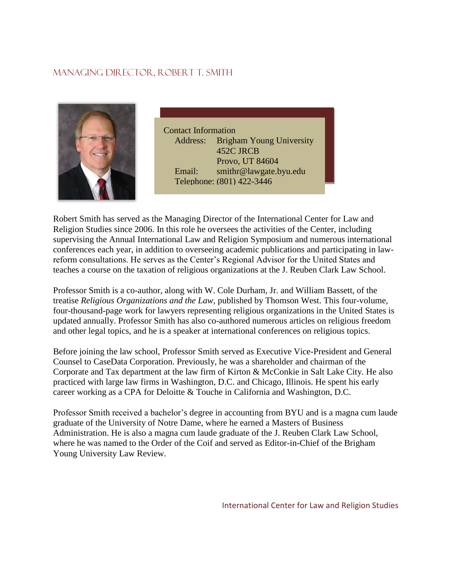## Managing Director, Robert T. Smith



Contact Information Address: Brigham Young University 452C JRCB Provo, UT 84604 Email: smithr@lawgate.byu.edu Telephone: (801) 422-3446

Robert Smith has served as the Managing Director of the International Center for Law and Religion Studies since 2006. In this role he oversees the activities of the Center, including supervising the Annual International Law and Religion Symposium and numerous international conferences each year, in addition to overseeing academic publications and participating in lawreform consultations. He serves as the Center's Regional Advisor for the United States and teaches a course on the taxation of religious organizations at the J. Reuben Clark Law School.

Professor Smith is a co-author, along with W. Cole Durham, Jr. and William Bassett, of the treatise *Religious Organizations and the Law,* published by Thomson West. This four-volume, four-thousand-page work for lawyers representing religious organizations in the United States is updated annually. Professor Smith has also co-authored numerous articles on religious freedom and other legal topics, and he is a speaker at international conferences on religious topics.

Before joining the law school, Professor Smith served as Executive Vice-President and General Counsel to CaseData Corporation. Previously, he was a shareholder and chairman of the Corporate and Tax department at the law firm of Kirton & McConkie in Salt Lake City. He also practiced with large law firms in Washington, D.C. and Chicago, Illinois. He spent his early career working as a CPA for Deloitte & Touche in California and Washington, D.C.

Professor Smith received a bachelor's degree in accounting from BYU and is a magna cum laude graduate of the University of Notre Dame, where he earned a Masters of Business Administration. He is also a magna cum laude graduate of the J. Reuben Clark Law School, where he was named to the Order of the Coif and served as Editor-in-Chief of the Brigham Young University Law Review.

International Center for Law and Religion Studies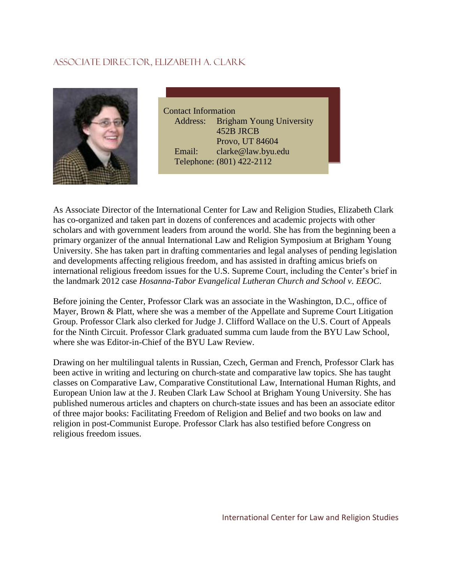# Associate Director, Elizabeth A. clark



Contact Information Address: Brigham Young University 452B JRCB Provo, UT 84604 Email: clarke@law.byu.edu Telephone: (801) 422-2112

As Associate Director of the International Center for Law and Religion Studies, Elizabeth Clark has co-organized and taken part in dozens of conferences and academic projects with other scholars and with government leaders from around the world. She has from the beginning been a primary organizer of the annual International Law and Religion Symposium at Brigham Young University. She has taken part in drafting commentaries and legal analyses of pending legislation and developments affecting religious freedom, and has assisted in drafting amicus briefs on international religious freedom issues for the U.S. Supreme Court, including the Center's brief in the landmark 2012 case *Hosanna-Tabor Evangelical Lutheran Church and School v. EEOC*.

Before joining the Center, Professor Clark was an associate in the Washington, D.C., office of Mayer, Brown & Platt, where she was a member of the Appellate and Supreme Court Litigation Group. Professor Clark also clerked for Judge J. Clifford Wallace on the U.S. Court of Appeals for the Ninth Circuit. Professor Clark graduated summa cum laude from the BYU Law School, where she was Editor-in-Chief of the BYU Law Review.

Drawing on her multilingual talents in Russian, Czech, German and French, Professor Clark has been active in writing and lecturing on church-state and comparative law topics. She has taught classes on Comparative Law, Comparative Constitutional Law, International Human Rights, and European Union law at the J. Reuben Clark Law School at Brigham Young University. She has published numerous articles and chapters on church-state issues and has been an associate editor of three major books: Facilitating Freedom of Religion and Belief and two books on law and religion in post-Communist Europe. Professor Clark has also testified before Congress on religious freedom issues.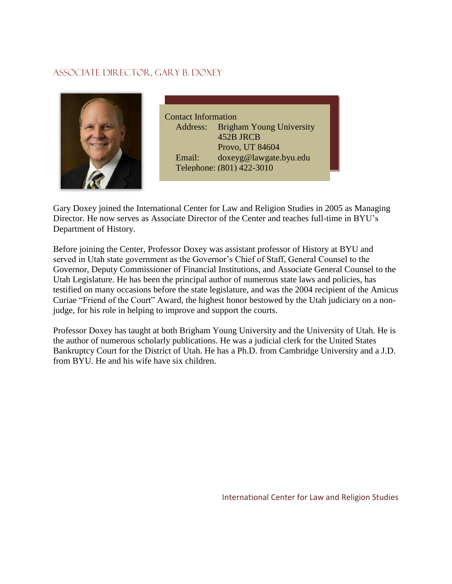## Associate Director, Gary B. doxey



Contact Information Address: Brigham Young University 452B JRCB Provo, UT 84604 Email: doxeyg@lawgate.byu.edu Telephone: (801) 422-3010

Gary Doxey joined the International Center for Law and Religion Studies in 2005 as Managing Director. He now serves as Associate Director of the Center and teaches full-time in BYU's Department of History.

Before joining the Center, Professor Doxey was assistant professor of History at BYU and served in Utah state government as the Governor's Chief of Staff, General Counsel to the Governor, Deputy Commissioner of Financial Institutions, and Associate General Counsel to the Utah Legislature. He has been the principal author of numerous state laws and policies, has testified on many occasions before the state legislature, and was the 2004 recipient of the Amicus Curiae "Friend of the Court" Award, the highest honor bestowed by the Utah judiciary on a nonjudge, for his role in helping to improve and support the courts.

Professor Doxey has taught at both Brigham Young University and the University of Utah. He is the author of numerous scholarly publications. He was a judicial clerk for the United States Bankruptcy Court for the District of Utah. He has a Ph.D. from Cambridge University and a J.D. from BYU. He and his wife have six children.

International Center for Law and Religion Studies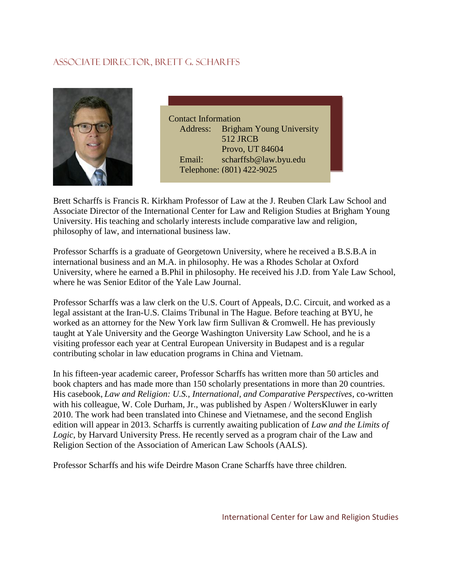# Associate Director, Brett G. Scharffs



Contact Information Address: Brigham Young University 512 JRCB Provo, UT 84604 Email: scharffsb@law.byu.edu Telephone: (801) 422-9025

Brett Scharffs is Francis R. Kirkham Professor of Law at the J. Reuben Clark Law School and Associate Director of the International Center for Law and Religion Studies at Brigham Young University. His teaching and scholarly interests include comparative law and religion, philosophy of law, and international business law.

Professor Scharffs is a graduate of Georgetown University, where he received a B.S.B.A in international business and an M.A. in philosophy. He was a Rhodes Scholar at Oxford University, where he earned a B.Phil in philosophy. He received his J.D. from Yale Law School, where he was Senior Editor of the Yale Law Journal.

Professor Scharffs was a law clerk on the U.S. Court of Appeals, D.C. Circuit, and worked as a legal assistant at the Iran-U.S. Claims Tribunal in The Hague. Before teaching at BYU, he worked as an attorney for the New York law firm Sullivan & Cromwell. He has previously taught at Yale University and the George Washington University Law School, and he is a visiting professor each year at Central European University in Budapest and is a regular contributing scholar in law education programs in China and Vietnam.

In his fifteen-year academic career, Professor Scharffs has written more than 50 articles and book chapters and has made more than 150 scholarly presentations in more than 20 countries. His casebook, *Law and Religion: U.S., International, and Comparative Perspectives*, co-written with his colleague, W. Cole Durham, Jr., was published by Aspen / WoltersKluwer in early 2010. The work had been translated into Chinese and Vietnamese, and the second English edition will appear in 2013. Scharffs is currently awaiting publication of *Law and the Limits of Logic*, by Harvard University Press. He recently served as a program chair of the Law and Religion Section of the Association of American Law Schools (AALS).

Professor Scharffs and his wife Deirdre Mason Crane Scharffs have three children.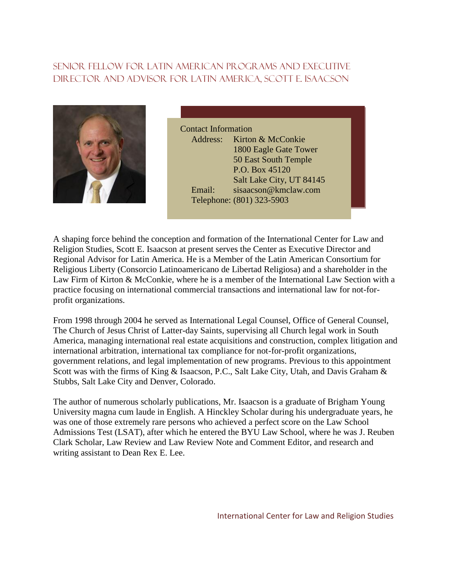# Senior fellow for latin American programs and executive director and advisor for latin America, Scott e. isaacson



Contact Information Address: Kirton & McConkie 1800 Eagle Gate Tower 50 East South Temple P.O. Box 45120 Salt Lake City, UT 84145 Email: sisaacson@kmclaw.com Telephone: (801) 323-5903

A shaping force behind the conception and formation of the International Center for Law and Religion Studies, Scott E. Isaacson at present serves the Center as Executive Director and Regional Advisor for Latin America. He is a Member of the Latin American Consortium for Religious Liberty (Consorcio Latinoamericano de Libertad Religiosa) and a shareholder in the Law Firm of Kirton & McConkie, where he is a member of the International Law Section with a practice focusing on international commercial transactions and international law for not-forprofit organizations.

From 1998 through 2004 he served as International Legal Counsel, Office of General Counsel, The Church of Jesus Christ of Latter-day Saints, supervising all Church legal work in South America, managing international real estate acquisitions and construction, complex litigation and international arbitration, international tax compliance for not-for-profit organizations, government relations, and legal implementation of new programs. Previous to this appointment Scott was with the firms of King & Isaacson, P.C., Salt Lake City, Utah, and Davis Graham & Stubbs, Salt Lake City and Denver, Colorado.

The author of numerous scholarly publications, Mr. Isaacson is a graduate of Brigham Young University magna cum laude in English. A Hinckley Scholar during his undergraduate years, he was one of those extremely rare persons who achieved a perfect score on the Law School Admissions Test (LSAT), after which he entered the BYU Law School, where he was J. Reuben Clark Scholar, Law Review and Law Review Note and Comment Editor, and research and writing assistant to Dean Rex E. Lee.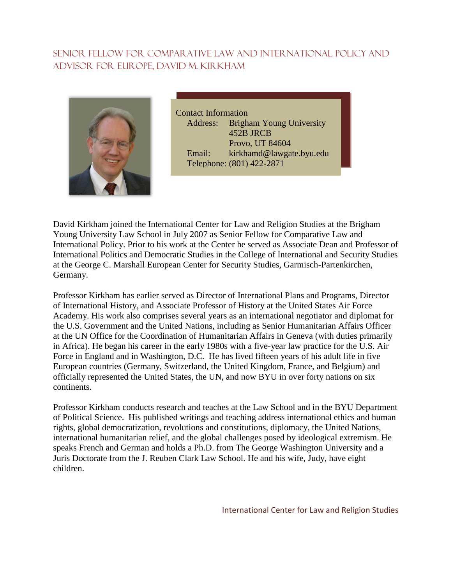# Senior Fellow For Comparative Law and International Policy and advisor for Europe, David M. Kirkham



Contact Information Address: Brigham Young University 452B JRCB Provo, UT 84604 Email: kirkhamd@lawgate.byu.edu Telephone: (801) 422-2871

David Kirkham joined the International Center for Law and Religion Studies at the Brigham Young University Law School in July 2007 as Senior Fellow for Comparative Law and International Policy. Prior to his work at the Center he served as Associate Dean and Professor of International Politics and Democratic Studies in the College of International and Security Studies at the George C. Marshall European Center for Security Studies, Garmisch-Partenkirchen, Germany.

Professor Kirkham has earlier served as Director of International Plans and Programs, Director of International History, and Associate Professor of History at the United States Air Force Academy. His work also comprises several years as an international negotiator and diplomat for the U.S. Government and the United Nations, including as Senior Humanitarian Affairs Officer at the UN Office for the Coordination of Humanitarian Affairs in Geneva (with duties primarily in Africa). He began his career in the early 1980s with a five-year law practice for the U.S. Air Force in England and in Washington, D.C. He has lived fifteen years of his adult life in five European countries (Germany, Switzerland, the United Kingdom, France, and Belgium) and officially represented the United States, the UN, and now BYU in over forty nations on six continents.

Professor Kirkham conducts research and teaches at the Law School and in the BYU Department of Political Science. His published writings and teaching address international ethics and human rights, global democratization, revolutions and constitutions, diplomacy, the United Nations, international humanitarian relief, and the global challenges posed by ideological extremism. He speaks French and German and holds a Ph.D. from The George Washington University and a Juris Doctorate from the J. Reuben Clark Law School. He and his wife, Judy, have eight children.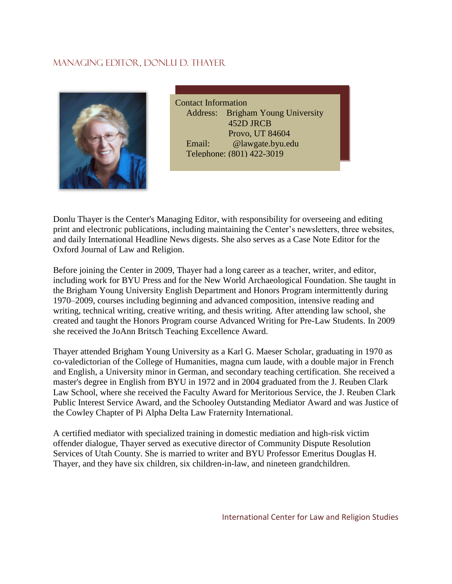## Managing editor, donlu d. thayer



Contact Information Address: Brigham Young University 452D JRCB Provo, UT 84604 Email: @lawgate.byu.edu Telephone: (801) 422-3019

Donlu Thayer is the Center's Managing Editor, with responsibility for overseeing and editing print and electronic publications, including maintaining the Center's newsletters, three websites, and daily International Headline News digests. She also serves as a Case Note Editor for the Oxford Journal of Law and Religion.

Before joining the Center in 2009, Thayer had a long career as a teacher, writer, and editor, including work for BYU Press and for the New World Archaeological Foundation. She taught in the Brigham Young University English Department and Honors Program intermittently during 1970–2009, courses including beginning and advanced composition, intensive reading and writing, technical writing, creative writing, and thesis writing. After attending law school, she created and taught the Honors Program course Advanced Writing for Pre-Law Students. In 2009 she received the JoAnn Britsch Teaching Excellence Award.

Thayer attended Brigham Young University as a Karl G. Maeser Scholar, graduating in 1970 as co-valedictorian of the College of Humanities, magna cum laude, with a double major in French and English, a University minor in German, and secondary teaching certification. She received a master's degree in English from BYU in 1972 and in 2004 graduated from the J. Reuben Clark Law School, where she received the Faculty Award for Meritorious Service, the J. Reuben Clark Public Interest Service Award, and the Schooley Outstanding Mediator Award and was Justice of the Cowley Chapter of Pi Alpha Delta Law Fraternity International.

A certified mediator with specialized training in domestic mediation and high-risk victim offender dialogue, Thayer served as executive director of Community Dispute Resolution Services of Utah County. She is married to writer and BYU Professor Emeritus Douglas H. Thayer, and they have six children, six children-in-law, and nineteen grandchildren.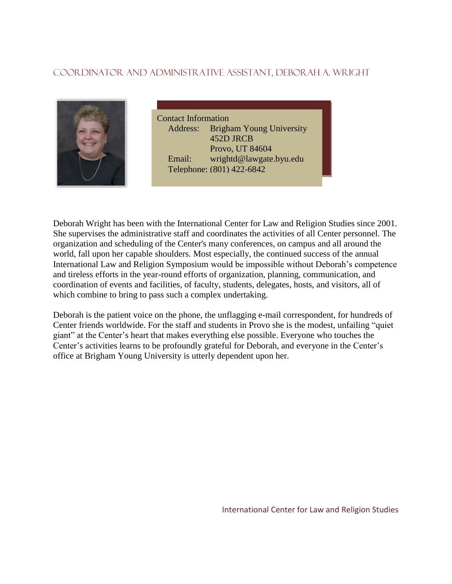## Coordinator and Administrative assistant, Deborah A. Wright



Contact Information Address: Brigham Young University 452D JRCB Provo, UT 84604 Email: wrightd@lawgate.byu.edu Telephone: (801) 422-6842

Deborah Wright has been with the International Center for Law and Religion Studies since 2001. She supervises the administrative staff and coordinates the activities of all Center personnel. The organization and scheduling of the Center's many conferences, on campus and all around the world, fall upon her capable shoulders. Most especially, the continued success of the annual International Law and Religion Symposium would be impossible without Deborah's competence and tireless efforts in the year-round efforts of organization, planning, communication, and coordination of events and facilities, of faculty, students, delegates, hosts, and visitors, all of which combine to bring to pass such a complex undertaking.

Deborah is the patient voice on the phone, the unflagging e-mail correspondent, for hundreds of Center friends worldwide. For the staff and students in Provo she is the modest, unfailing "quiet giant" at the Center's heart that makes everything else possible. Everyone who touches the Center's activities learns to be profoundly grateful for Deborah, and everyone in the Center's office at Brigham Young University is utterly dependent upon her.

International Center for Law and Religion Studies